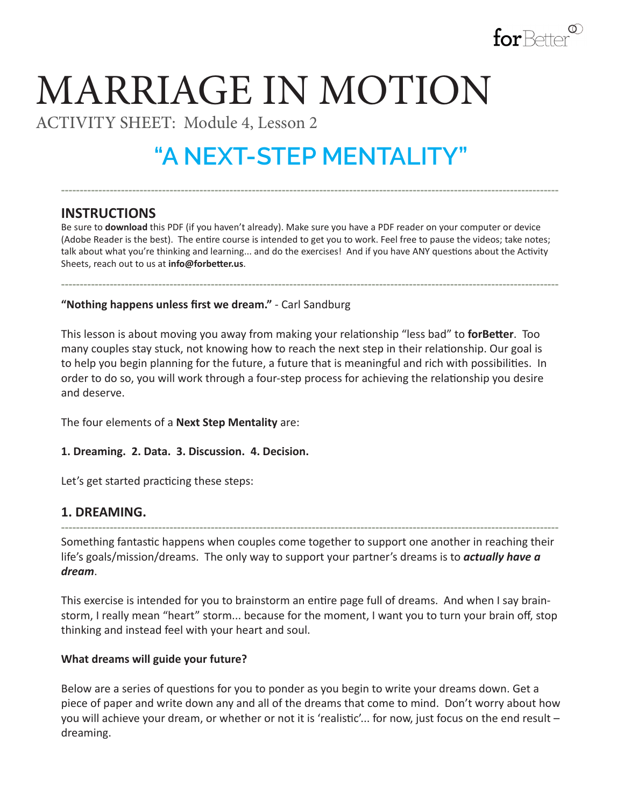

# MARRIAGE IN MOTION

ACTIVITY SHEET: Module 4, Lesson 2

# **"A NEXT-STEP MENTALITY"**

**-------------------------------------------------------------------------------------------------------------------------------------**

# **INSTRUCTIONS**

Be sure to **download** this PDF (if you haven't already). Make sure you have a PDF reader on your computer or device (Adobe Reader is the best). The entire course is intended to get you to work. Feel free to pause the videos; take notes; talk about what you're thinking and learning... and do the exercises! And if you have ANY questions about the Activity Sheets, reach out to us at **info@forbetter.us**.

**-------------------------------------------------------------------------------------------------------------------------------------**

**"Nothing happens unless first we dream."** - Carl Sandburg

This lesson is about moving you away from making your relationship "less bad" to **forBetter**. Too many couples stay stuck, not knowing how to reach the next step in their relationship. Our goal is to help you begin planning for the future, a future that is meaningful and rich with possibilities. In order to do so, you will work through a four-step process for achieving the relationship you desire and deserve.

The four elements of a **Next Step Mentality** are:

**1. Dreaming. 2. Data. 3. Discussion. 4. Decision.**

Let's get started practicing these steps:

## **1. DREAMING.**

**-------------------------------------------------------------------------------------------------------------------------------------** Something fantastic happens when couples come together to support one another in reaching their life's goals/mission/dreams. The only way to support your partner's dreams is to *actually have a dream*.

This exercise is intended for you to brainstorm an entire page full of dreams. And when I say brainstorm, I really mean "heart" storm... because for the moment, I want you to turn your brain off, stop thinking and instead feel with your heart and soul.

#### **What dreams will guide your future?**

Below are a series of questions for you to ponder as you begin to write your dreams down. Get a piece of paper and write down any and all of the dreams that come to mind. Don't worry about how you will achieve your dream, or whether or not it is 'realistic'... for now, just focus on the end result – dreaming.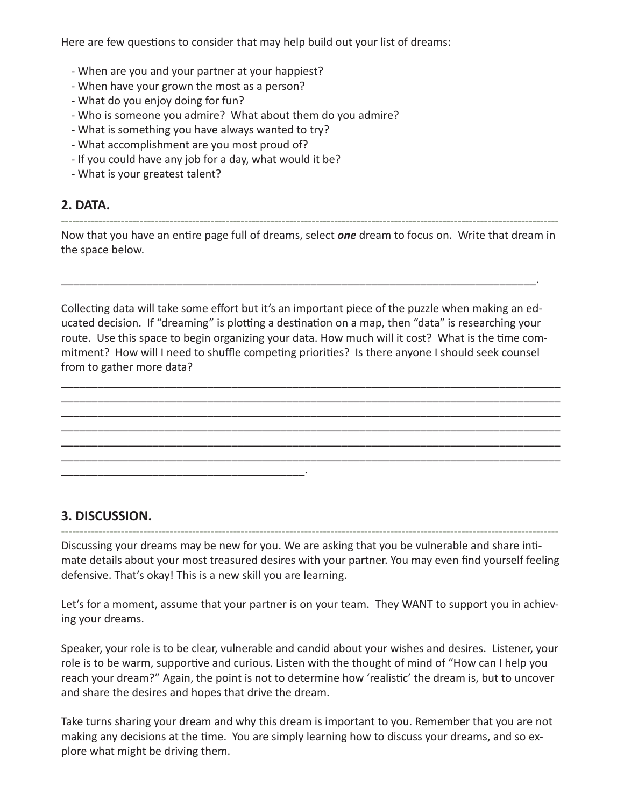Here are few questions to consider that may help build out your list of dreams:

- When are you and your partner at your happiest?
- When have your grown the most as a person?
- What do you enjoy doing for fun?
- Who is someone you admire? What about them do you admire?
- What is something you have always wanted to try?
- What accomplishment are you most proud of?

\_\_\_\_\_\_\_\_\_\_\_\_\_\_\_\_\_\_\_\_\_\_\_\_\_\_\_\_\_\_\_\_\_\_\_\_\_\_\_\_.

- If you could have any job for a day, what would it be?
- What is your greatest talent?

#### **2. DATA.**

Now that you have an entire page full of dreams, select *one* dream to focus on. Write that dream in the space below.

**-------------------------------------------------------------------------------------------------------------------------------------**

Collecting data will take some effort but it's an important piece of the puzzle when making an educated decision. If "dreaming" is plotting a destination on a map, then "data" is researching your route. Use this space to begin organizing your data. How much will it cost? What is the time commitment? How will I need to shuffle competing priorities? Is there anyone I should seek counsel from to gather more data?

\_\_\_\_\_\_\_\_\_\_\_\_\_\_\_\_\_\_\_\_\_\_\_\_\_\_\_\_\_\_\_\_\_\_\_\_\_\_\_\_\_\_\_\_\_\_\_\_\_\_\_\_\_\_\_\_\_\_\_\_\_\_\_\_\_\_\_\_\_\_\_\_\_\_\_\_\_\_\_\_\_\_ \_\_\_\_\_\_\_\_\_\_\_\_\_\_\_\_\_\_\_\_\_\_\_\_\_\_\_\_\_\_\_\_\_\_\_\_\_\_\_\_\_\_\_\_\_\_\_\_\_\_\_\_\_\_\_\_\_\_\_\_\_\_\_\_\_\_\_\_\_\_\_\_\_\_\_\_\_\_\_\_\_\_ \_\_\_\_\_\_\_\_\_\_\_\_\_\_\_\_\_\_\_\_\_\_\_\_\_\_\_\_\_\_\_\_\_\_\_\_\_\_\_\_\_\_\_\_\_\_\_\_\_\_\_\_\_\_\_\_\_\_\_\_\_\_\_\_\_\_\_\_\_\_\_\_\_\_\_\_\_\_\_\_\_\_ \_\_\_\_\_\_\_\_\_\_\_\_\_\_\_\_\_\_\_\_\_\_\_\_\_\_\_\_\_\_\_\_\_\_\_\_\_\_\_\_\_\_\_\_\_\_\_\_\_\_\_\_\_\_\_\_\_\_\_\_\_\_\_\_\_\_\_\_\_\_\_\_\_\_\_\_\_\_\_\_\_\_ \_\_\_\_\_\_\_\_\_\_\_\_\_\_\_\_\_\_\_\_\_\_\_\_\_\_\_\_\_\_\_\_\_\_\_\_\_\_\_\_\_\_\_\_\_\_\_\_\_\_\_\_\_\_\_\_\_\_\_\_\_\_\_\_\_\_\_\_\_\_\_\_\_\_\_\_\_\_\_\_\_\_ \_\_\_\_\_\_\_\_\_\_\_\_\_\_\_\_\_\_\_\_\_\_\_\_\_\_\_\_\_\_\_\_\_\_\_\_\_\_\_\_\_\_\_\_\_\_\_\_\_\_\_\_\_\_\_\_\_\_\_\_\_\_\_\_\_\_\_\_\_\_\_\_\_\_\_\_\_\_\_\_\_\_

\_\_\_\_\_\_\_\_\_\_\_\_\_\_\_\_\_\_\_\_\_\_\_\_\_\_\_\_\_\_\_\_\_\_\_\_\_\_\_\_\_\_\_\_\_\_\_\_\_\_\_\_\_\_\_\_\_\_\_\_\_\_\_\_\_\_\_\_\_\_\_\_\_\_\_\_\_\_.

## **3. DISCUSSION.**

**-------------------------------------------------------------------------------------------------------------------------------------** Discussing your dreams may be new for you. We are asking that you be vulnerable and share intimate details about your most treasured desires with your partner. You may even find yourself feeling defensive. That's okay! This is a new skill you are learning.

Let's for a moment, assume that your partner is on your team. They WANT to support you in achieving your dreams.

Speaker, your role is to be clear, vulnerable and candid about your wishes and desires. Listener, your role is to be warm, supportive and curious. Listen with the thought of mind of "How can I help you reach your dream?" Again, the point is not to determine how 'realistic' the dream is, but to uncover and share the desires and hopes that drive the dream.

Take turns sharing your dream and why this dream is important to you. Remember that you are not making any decisions at the time. You are simply learning how to discuss your dreams, and so explore what might be driving them.